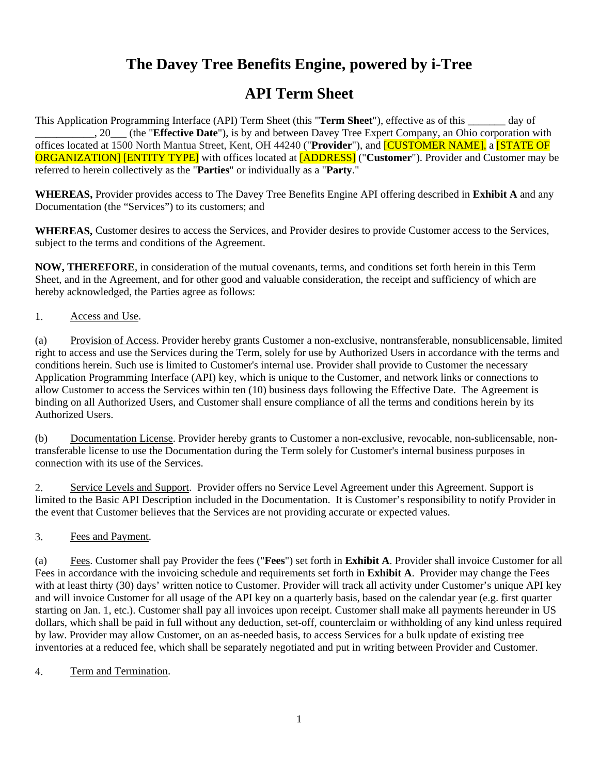# **The Davey Tree Benefits Engine, powered by i-Tree**

## **API Term Sheet**

This Application Programming Interface (API) Term Sheet (this "**Term Sheet**"), effective as of this \_\_\_\_\_\_\_ day of \_\_\_\_\_\_\_\_\_\_\_, 20\_\_\_ (the "**Effective Date**"), is by and between Davey Tree Expert Company, an Ohio corporation with offices located at 1500 North Mantua Street, Kent, OH 44240 ("**Provider**"), and [CUSTOMER NAME], a [STATE OF ORGANIZATION] [ENTITY TYPE] with offices located at [ADDRESS] ("**Customer**"). Provider and Customer may be referred to herein collectively as the "**Parties**" or individually as a "**Party**."

**WHEREAS,** Provider provides access to The Davey Tree Benefits Engine API offering described in **Exhibit A** and any Documentation (the "Services") to its customers; and

**WHEREAS,** Customer desires to access the Services, and Provider desires to provide Customer access to the Services, subject to the terms and conditions of the Agreement.

**NOW, THEREFORE**, in consideration of the mutual covenants, terms, and conditions set forth herein in this Term Sheet, and in the Agreement, and for other good and valuable consideration, the receipt and sufficiency of which are hereby acknowledged, the Parties agree as follows:

#### 1. Access and Use.

(a) Provision of Access. Provider hereby grants Customer a non-exclusive, nontransferable, nonsublicensable, limited right to access and use the Services during the Term, solely for use by Authorized Users in accordance with the terms and conditions herein. Such use is limited to Customer's internal use. Provider shall provide to Customer the necessary Application Programming Interface (API) key, which is unique to the Customer, and network links or connections to allow Customer to access the Services within ten (10) business days following the Effective Date. The Agreement is binding on all Authorized Users, and Customer shall ensure compliance of all the terms and conditions herein by its Authorized Users.

(b) Documentation License. Provider hereby grants to Customer a non-exclusive, revocable, non-sublicensable, nontransferable license to use the Documentation during the Term solely for Customer's internal business purposes in connection with its use of the Services.

2. Service Levels and Support. Provider offers no Service Level Agreement under this Agreement. Support is limited to the Basic API Description included in the Documentation. It is Customer's responsibility to notify Provider in the event that Customer believes that the Services are not providing accurate or expected values.

3. Fees and Payment.

(a) Fees. Customer shall pay Provider the fees ("**Fees**") set forth in **Exhibit A**. Provider shall invoice Customer for all Fees in accordance with the invoicing schedule and requirements set forth in **Exhibit A**. Provider may change the Fees with at least thirty (30) days' written notice to Customer. Provider will track all activity under Customer's unique API key and will invoice Customer for all usage of the API key on a quarterly basis, based on the calendar year (e.g. first quarter starting on Jan. 1, etc.). Customer shall pay all invoices upon receipt. Customer shall make all payments hereunder in US dollars, which shall be paid in full without any deduction, set-off, counterclaim or withholding of any kind unless required by law. Provider may allow Customer, on an as-needed basis, to access Services for a bulk update of existing tree inventories at a reduced fee, which shall be separately negotiated and put in writing between Provider and Customer.

4. Term and Termination.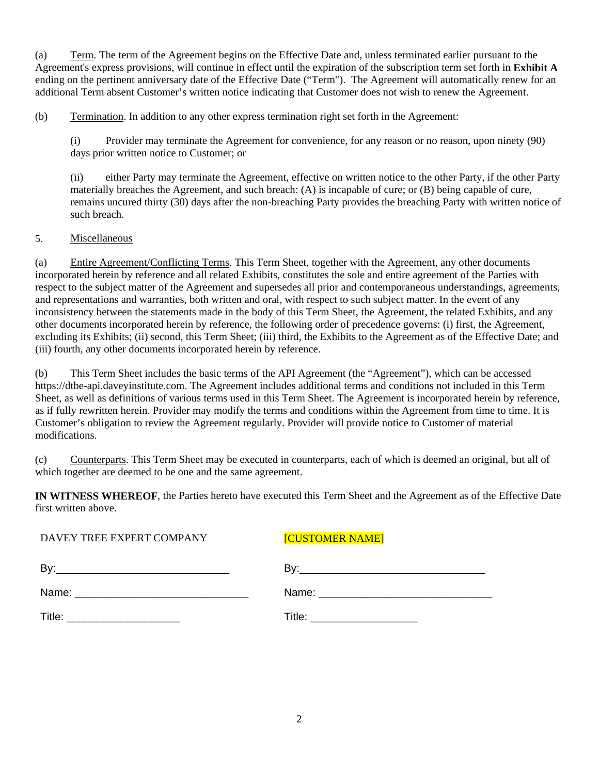(a) Term. The term of the Agreement begins on the Effective Date and, unless terminated earlier pursuant to the Agreement's express provisions, will continue in effect until the expiration of the subscription term set forth in **Exhibit A** ending on the pertinent anniversary date of the Effective Date ("Term"). The Agreement will automatically renew for an additional Term absent Customer's written notice indicating that Customer does not wish to renew the Agreement.

(b) Termination. In addition to any other express termination right set forth in the Agreement:

(i) Provider may terminate the Agreement for convenience, for any reason or no reason, upon ninety (90) days prior written notice to Customer; or

(ii) either Party may terminate the Agreement, effective on written notice to the other Party, if the other Party materially breaches the Agreement, and such breach: (A) is incapable of cure; or (B) being capable of cure, remains uncured thirty (30) days after the non-breaching Party provides the breaching Party with written notice of such breach.

#### 5. Miscellaneous

(a) Entire Agreement/Conflicting Terms. This Term Sheet, together with the Agreement, any other documents incorporated herein by reference and all related Exhibits, constitutes the sole and entire agreement of the Parties with respect to the subject matter of the Agreement and supersedes all prior and contemporaneous understandings, agreements, and representations and warranties, both written and oral, with respect to such subject matter. In the event of any inconsistency between the statements made in the body of this Term Sheet, the Agreement, the related Exhibits, and any other documents incorporated herein by reference, the following order of precedence governs: (i) first, the Agreement, excluding its Exhibits; (ii) second, this Term Sheet; (iii) third, the Exhibits to the Agreement as of the Effective Date; and (iii) fourth, any other documents incorporated herein by reference.

(b) This Term Sheet includes the basic terms of the API Agreement (the "Agreement"), which can be accessed https://dtbe-api.daveyinstitute.com. The Agreement includes additional terms and conditions not included in this Term Sheet, as well as definitions of various terms used in this Term Sheet. The Agreement is incorporated herein by reference, as if fully rewritten herein. Provider may modify the terms and conditions within the Agreement from time to time. It is Customer's obligation to review the Agreement regularly. Provider will provide notice to Customer of material modifications.

(c) Counterparts. This Term Sheet may be executed in counterparts, each of which is deemed an original, but all of which together are deemed to be one and the same agreement.

**IN WITNESS WHEREOF**, the Parties hereto have executed this Term Sheet and the Agreement as of the Effective Date first written above.

| DAVEY TREE EXPERT COMPANY | <b>[CUSTOMER NAME]</b>       |
|---------------------------|------------------------------|
|                           |                              |
|                           |                              |
|                           | Title: _____________________ |